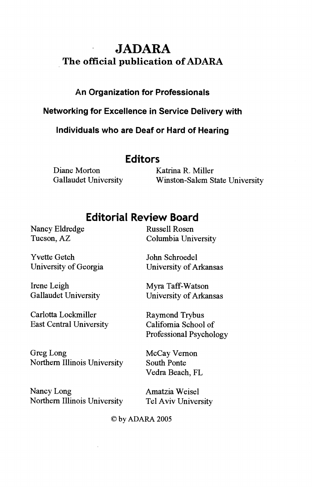# JADARA The official publication of ADARA

### An Organization for Professionals

Networking for Excellence in Service Delivery with

individuals who are Deaf or Hard of Hearing

### Editors

Diane Morton Katrina R. Miller

Gallaudet University Winston-Salem State University

## Editorial Review Board

Nancy Eldredge Russell Rosen

Yvette Getch John Schroedel

Irene Leigh Myra Taff-Watson

Carlotta Lockmiller Raymond Trybus East Central University California School of

Greg Long McCay Vernon Northern Illinois University South Ponte

Nancy Long Amatzia Weisel Northern Illinois University Tel Aviv University

Tucson, AZ Columbia University

University of Georgia University of Arkansas

Gallaudet University University of Arkansas

Professional Psychology

Vedra Beach, FL

©by ADARA 2005